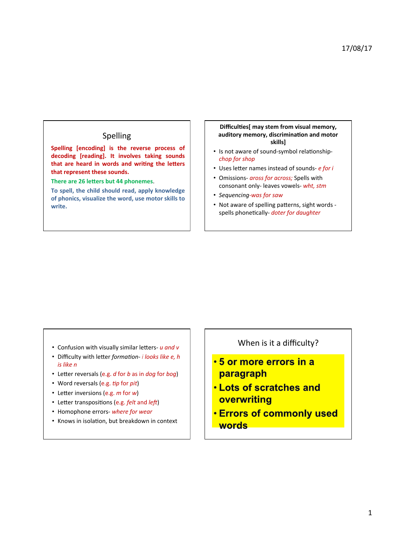## Spelling

Spelling [encoding] is the reverse process of decoding [reading]. It involves taking sounds that are heard in words and writing the letters that represent these sounds.

There are 26 letters but 44 phonemes.

To spell, the child should read, apply knowledge of phonics, visualize the word, use motor skills to **write.**

## Difficulties[ may stem from visual memory, auditory memory, discrimination and motor **skills]**

- Is not aware of sound-symbol relationshipchop for shop
- Uses letter names instead of sounds- *e for i*
- Omissions- aross for across; Spells with consonant only- leaves vowels- wht, stm
- *Sequencing-was for saw*
- Not aware of spelling patterns, sight words spells phonetically- *doter for daughter*

- Confusion with visually similar letters- u and v
- Difficulty with letter formation- i looks like e, h *is* like *n*
- Letter reversals (e.g. *d* for *b* as in *dog* for *bog*)
- Word reversals (e.g. *tip* for *pit*)
- Letter inversions (e.g. *m* for *w*)
- Letter transpositions (e.g. *felt* and *left*)
- Homophone errors- where for wear
- Knows in isolation, but breakdown in context

When is it a difficulty?

- 5 or more errors in a paragraph
- **. Lots of scratches and** overwriting
- **. Errors of commonly used words**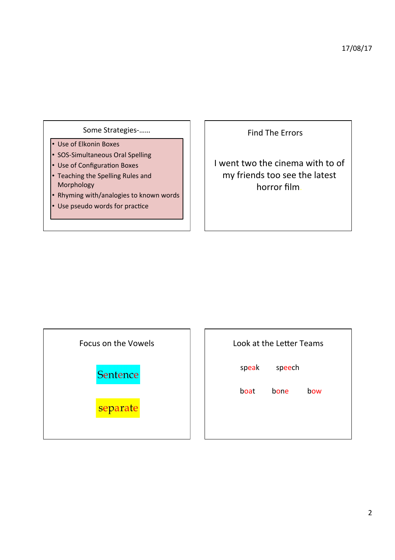## Some Strategies-......

- Use of Elkonin Boxes
- SOS-Simultaneous Oral Spelling
- Use of Configuration Boxes
- Teaching the Spelling Rules and Morphology
- Rhyming with/analogies to known words
- Use pseudo words for practice

Find The Errors

I went two the cinema with to of my friends too see the latest horror film.

Focus on the Vowels



separate

| <b>Look at the Letter Teams</b> |             |     |  |  |
|---------------------------------|-------------|-----|--|--|
| speak                           | speech      |     |  |  |
| boat                            | <b>bone</b> | how |  |  |
|                                 |             |     |  |  |
|                                 |             |     |  |  |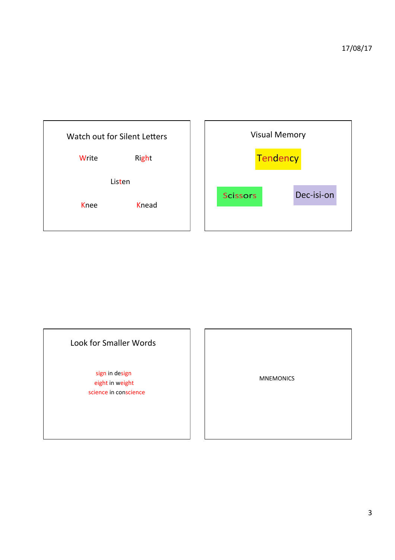

| <b>Visual Memory</b> |          |            |  |  |
|----------------------|----------|------------|--|--|
|                      | Tendency |            |  |  |
| <b>Scissors</b>      |          | Dec-isi-on |  |  |
|                      |          |            |  |  |

## Look for Smaller Words

sign in design eight in weight science in conscience

 MNEMONICS